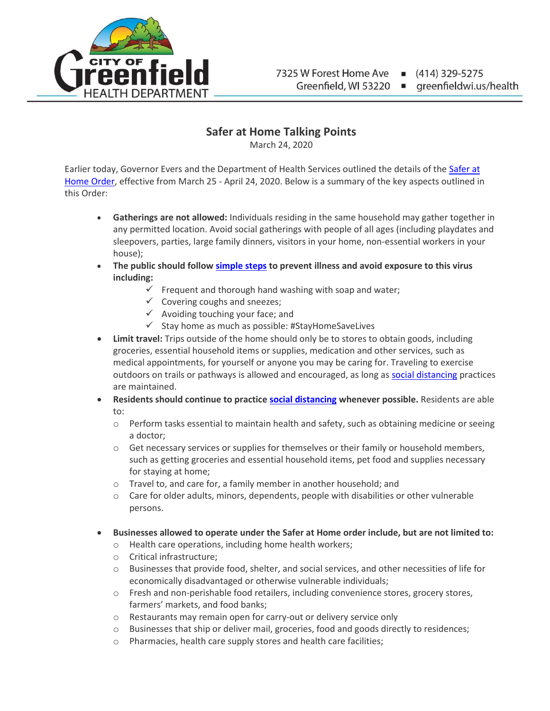

greenfieldwi.us/health

## **Safer at Home Talking Points**

March 24, 2020

Earlier today, Governor Evers and the Department of Health Services outlined the details of the [Safer at](https://evers.wi.gov/Documents/COVID19/EMO12-SaferAtHome.pdf)  [Home Order,](https://evers.wi.gov/Documents/COVID19/EMO12-SaferAtHome.pdf) effective from March 25 - April 24, 2020. Below is a summary of the key aspects outlined in this Order:

- **Gatherings are not allowed:** Individuals residing in the same household may gather together in any permitted location. Avoid social gatherings with people of all ages (including playdates and sleepovers, parties, large family dinners, visitors in your home, non-essential workers in your house);
- **The public should follow [simple steps](https://www.cdc.gov/coronavirus/2019-ncov/prepare/prevention.html) to prevent illness and avoid exposure to this virus including:**
	- $\checkmark$  Frequent and thorough hand washing with soap and water;
	- $\checkmark$  Covering coughs and sneezes;
	- $\checkmark$  Avoiding touching your face; and
	- $\checkmark$  Stay home as much as possible: #StayHomeSaveLives
- **Limit travel:** Trips outside of the home should only be to stores to obtain goods, including groceries, essential household items or supplies, medication and other services, such as medical appointments, for yourself or anyone you may be caring for. Traveling to exercise outdoors on trails or pathways is allowed and encouraged, as long as [social distancing](https://www.dhs.wisconsin.gov/publications/p02620b.pdf?fbclid=IwAR3Sj6mht4IImK7JoJZRZDhAmQAnIrNUw_z37Ozp3VSr9Nv4RBpOz9Td45I) practices are maintained.
- **Residents should continue to practice [social distancing](https://www.dhs.wisconsin.gov/publications/p02620b.pdf?fbclid=IwAR3Sj6mht4IImK7JoJZRZDhAmQAnIrNUw_z37Ozp3VSr9Nv4RBpOz9Td45I) whenever possible.** Residents are able to:
	- o Perform tasks essential to maintain health and safety, such as obtaining medicine or seeing a doctor;
	- $\circ$  Get necessary services or supplies for themselves or their family or household members, such as getting groceries and essential household items, pet food and supplies necessary for staying at home;
	- o Travel to, and care for, a family member in another household; and
	- $\circ$  Care for older adults, minors, dependents, people with disabilities or other vulnerable persons.
- **Businesses allowed to operate under the Safer at Home order include, but are not limited to:**
	- o Health care operations, including home health workers;
	- o Critical infrastructure;
	- o Businesses that provide food, shelter, and social services, and other necessities of life for economically disadvantaged or otherwise vulnerable individuals;
	- o Fresh and non-perishable food retailers, including convenience stores, grocery stores, farmers' markets, and food banks;
	- o Restaurants may remain open for carry-out or delivery service only
	- o Businesses that ship or deliver mail, groceries, food and goods directly to residences;
	- o Pharmacies, health care supply stores and health care facilities;